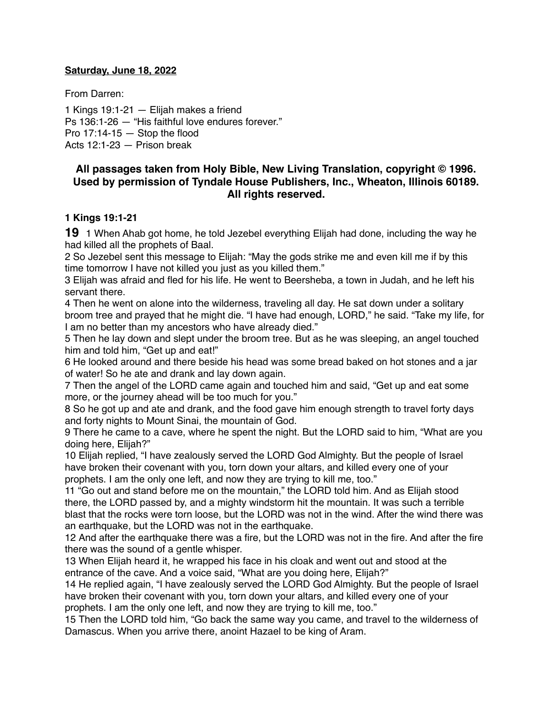#### **Saturday, June 18, 2022**

From Darren:

1 Kings 19:1-21 — Elijah makes a friend Ps 136:1-26 — "His faithful love endures forever." Pro  $17:14-15$  - Stop the flood Acts 12:1-23 — Prison break

## **All passages taken from Holy Bible, [New Living Translation](http://www.newlivingtranslation.com/), copyright © 1996. Used by permission of [Tyndale House Publishers](http://tyndale.com/), Inc., Wheaton, Illinois 60189. All rights reserved.**

#### **1 Kings 19:1-21**

**19** 1 When Ahab got home, he told Jezebel everything Elijah had done, including the way he had killed all the prophets of Baal.

2 So Jezebel sent this message to Elijah: "May the gods strike me and even kill me if by this time tomorrow I have not killed you just as you killed them."

3 Elijah was afraid and fled for his life. He went to Beersheba, a town in Judah, and he left his servant there.

4 Then he went on alone into the wilderness, traveling all day. He sat down under a solitary broom tree and prayed that he might die. "I have had enough, LORD," he said. "Take my life, for I am no better than my ancestors who have already died."

5 Then he lay down and slept under the broom tree. But as he was sleeping, an angel touched him and told him, "Get up and eat!"

6 He looked around and there beside his head was some bread baked on hot stones and a jar of water! So he ate and drank and lay down again.

7 Then the angel of the LORD came again and touched him and said, "Get up and eat some more, or the journey ahead will be too much for you."

8 So he got up and ate and drank, and the food gave him enough strength to travel forty days and forty nights to Mount Sinai, the mountain of God.

9 There he came to a cave, where he spent the night. But the LORD said to him, "What are you doing here, Elijah?"

10 Elijah replied, "I have zealously served the LORD God Almighty. But the people of Israel have broken their covenant with you, torn down your altars, and killed every one of your prophets. I am the only one left, and now they are trying to kill me, too."

11 "Go out and stand before me on the mountain," the LORD told him. And as Elijah stood there, the LORD passed by, and a mighty windstorm hit the mountain. It was such a terrible blast that the rocks were torn loose, but the LORD was not in the wind. After the wind there was an earthquake, but the LORD was not in the earthquake.

12 And after the earthquake there was a fire, but the LORD was not in the fire. And after the fire there was the sound of a gentle whisper.

13 When Elijah heard it, he wrapped his face in his cloak and went out and stood at the entrance of the cave. And a voice said, "What are you doing here, Elijah?"

14 He replied again, "I have zealously served the LORD God Almighty. But the people of Israel have broken their covenant with you, torn down your altars, and killed every one of your prophets. I am the only one left, and now they are trying to kill me, too."

15 Then the LORD told him, "Go back the same way you came, and travel to the wilderness of Damascus. When you arrive there, anoint Hazael to be king of Aram.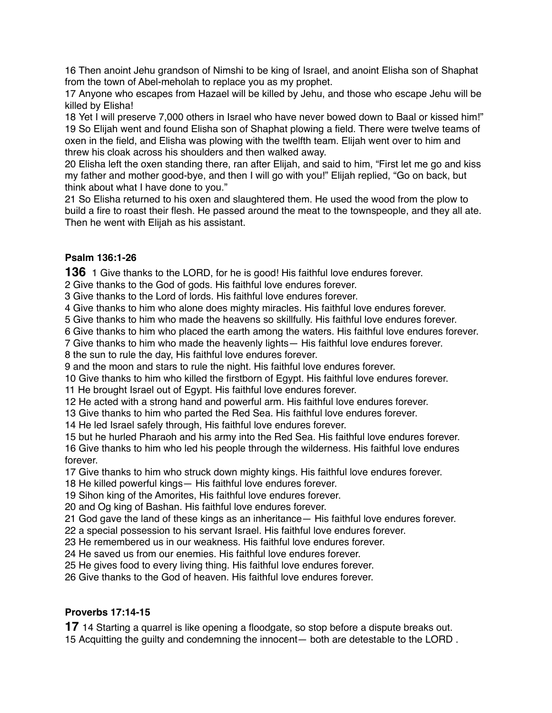Then anoint Jehu grandson of Nimshi to be king of Israel, and anoint Elisha son of Shaphat from the town of Abel-meholah to replace you as my prophet.

 Anyone who escapes from Hazael will be killed by Jehu, and those who escape Jehu will be killed by Elisha!

 Yet I will preserve 7,000 others in Israel who have never bowed down to Baal or kissed him!" So Elijah went and found Elisha son of Shaphat plowing a field. There were twelve teams of oxen in the field, and Elisha was plowing with the twelfth team. Elijah went over to him and threw his cloak across his shoulders and then walked away.

 Elisha left the oxen standing there, ran after Elijah, and said to him, "First let me go and kiss my father and mother good-bye, and then I will go with you!" Elijah replied, "Go on back, but think about what I have done to you."

 So Elisha returned to his oxen and slaughtered them. He used the wood from the plow to build a fire to roast their flesh. He passed around the meat to the townspeople, and they all ate. Then he went with Elijah as his assistant.

## **Psalm 136:1-26**

1 Give thanks to the LORD, for he is good! His faithful love endures forever.

Give thanks to the God of gods. His faithful love endures forever.

Give thanks to the Lord of lords. His faithful love endures forever.

Give thanks to him who alone does mighty miracles. His faithful love endures forever.

Give thanks to him who made the heavens so skillfully. His faithful love endures forever.

Give thanks to him who placed the earth among the waters. His faithful love endures forever.

Give thanks to him who made the heavenly lights— His faithful love endures forever.

the sun to rule the day, His faithful love endures forever.

and the moon and stars to rule the night. His faithful love endures forever.

Give thanks to him who killed the firstborn of Egypt. His faithful love endures forever.

He brought Israel out of Egypt. His faithful love endures forever.

He acted with a strong hand and powerful arm. His faithful love endures forever.

Give thanks to him who parted the Red Sea. His faithful love endures forever.

He led Israel safely through, His faithful love endures forever.

 but he hurled Pharaoh and his army into the Red Sea. His faithful love endures forever. Give thanks to him who led his people through the wilderness. His faithful love endures forever.

Give thanks to him who struck down mighty kings. His faithful love endures forever.

He killed powerful kings— His faithful love endures forever.

Sihon king of the Amorites, His faithful love endures forever.

and Og king of Bashan. His faithful love endures forever.

God gave the land of these kings as an inheritance— His faithful love endures forever.

a special possession to his servant Israel. His faithful love endures forever.

He remembered us in our weakness. His faithful love endures forever.

He saved us from our enemies. His faithful love endures forever.

He gives food to every living thing. His faithful love endures forever.

Give thanks to the God of heaven. His faithful love endures forever.

# **Proverbs 17:14-15**

14 Starting a quarrel is like opening a floodgate, so stop before a dispute breaks out. Acquitting the guilty and condemning the innocent— both are detestable to the LORD .